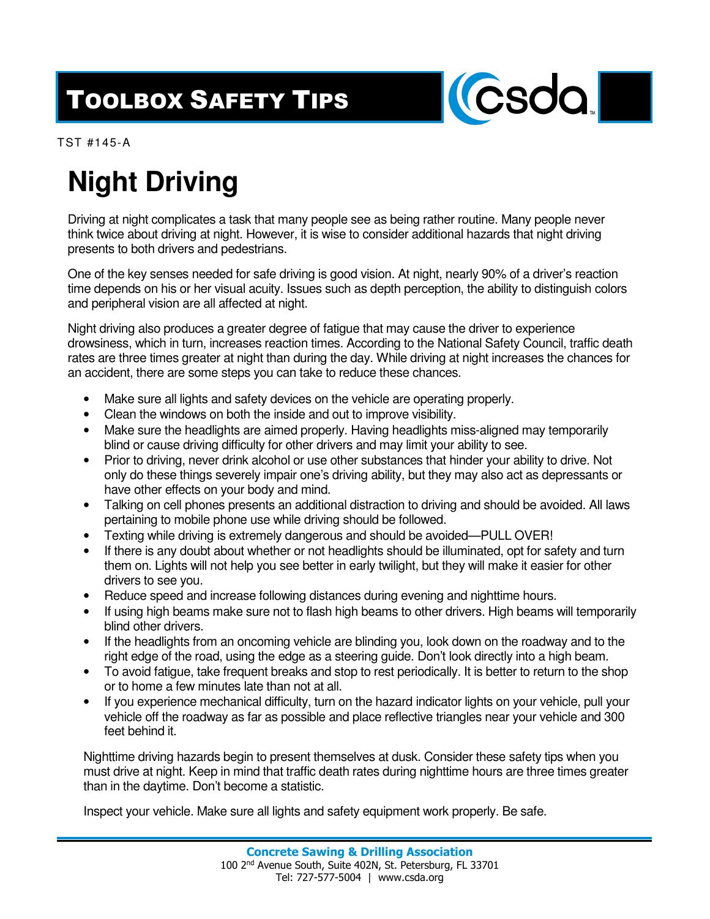## TOOLBOX SAFETY TIPS



TST #145-A

## **Night Driving**

Driving at night complicates a task that many people see as being rather routine. Many people never think twice about driving at night. However, it is wise to consider additional hazards that night driving presents to both drivers and pedestrians.

One of the key senses needed for safe driving is good vision. At night, nearly 90% of a driver's reaction time depends on his or her visual acuity. Issues such as depth perception, the ability to distinguish colors and peripheral vision are all affected at night.

Night driving also produces a greater degree of fatigue that may cause the driver to experience drowsiness, which in turn, increases reaction times. According to the National Safety Council, traffic death rates are three times greater at night than during the day. While driving at night increases the chances for an accident, there are some steps you can take to reduce these chances.

- Make sure all lights and safety devices on the vehicle are operating properly.
- Clean the windows on both the inside and out to improve visibility.
- Make sure the headlights are aimed properly. Having headlights miss-aligned may temporarily blind or cause driving difficulty for other drivers and may limit your ability to see.
- Prior to driving, never drink alcohol or use other substances that hinder your ability to drive. Not only do these things severely impair one's driving ability, but they may also act as depressants or have other effects on your body and mind.
- Talking on cell phones presents an additional distraction to driving and should be avoided. All laws pertaining to mobile phone use while driving should be followed.
- Texting while driving is extremely dangerous and should be avoided—PULL OVER!
- If there is any doubt about whether or not headlights should be illuminated, opt for safety and turn them on. Lights will not help you see better in early twilight, but they will make it easier for other drivers to see you.
- Reduce speed and increase following distances during evening and nighttime hours.
- If using high beams make sure not to flash high beams to other drivers. High beams will temporarily blind other drivers.
- If the headlights from an oncoming vehicle are blinding you, look down on the roadway and to the right edge of the road, using the edge as a steering guide. Don't look directly into a high beam.
- To avoid fatigue, take frequent breaks and stop to rest periodically. It is better to return to the shop or to home a few minutes late than not at all.
- If you experience mechanical difficulty, turn on the hazard indicator lights on your vehicle, pull your vehicle off the roadway as far as possible and place reflective triangles near your vehicle and 300 feet behind it.

Nighttime driving hazards begin to present themselves at dusk. Consider these safety tips when you must drive at night. Keep in mind that traffic death rates during nighttime hours are three times greater than in the daytime. Don't become a statistic.

Inspect your vehicle. Make sure all lights and safety equipment work properly. Be safe.